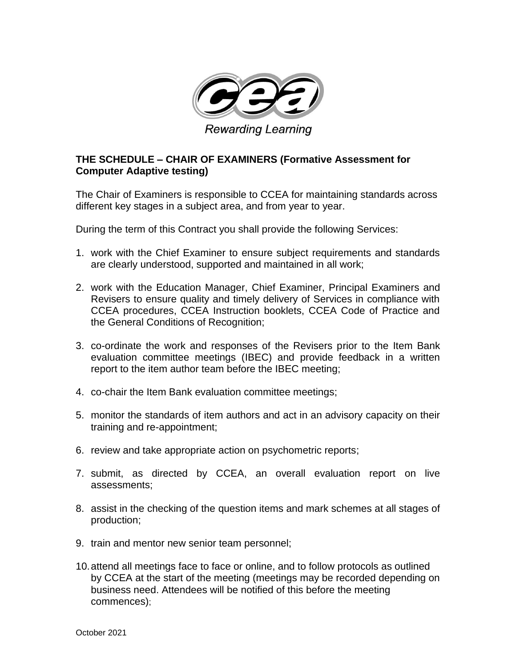![](_page_0_Picture_0.jpeg)

## **THE SCHEDULE – CHAIR OF EXAMINERS (Formative Assessment for Computer Adaptive testing)**

The Chair of Examiners is responsible to CCEA for maintaining standards across different key stages in a subject area, and from year to year.

During the term of this Contract you shall provide the following Services:

- 1. work with the Chief Examiner to ensure subject requirements and standards are clearly understood, supported and maintained in all work;
- 2. work with the Education Manager, Chief Examiner, Principal Examiners and Revisers to ensure quality and timely delivery of Services in compliance with CCEA procedures, CCEA Instruction booklets, CCEA Code of Practice and the General Conditions of Recognition;
- 3. co-ordinate the work and responses of the Revisers prior to the Item Bank evaluation committee meetings (IBEC) and provide feedback in a written report to the item author team before the IBEC meeting;
- 4. co-chair the Item Bank evaluation committee meetings;
- 5. monitor the standards of item authors and act in an advisory capacity on their training and re-appointment;
- 6. review and take appropriate action on psychometric reports;
- 7. submit, as directed by CCEA, an overall evaluation report on live assessments;
- 8. assist in the checking of the question items and mark schemes at all stages of production;
- 9. train and mentor new senior team personnel;
- 10.attend all meetings face to face or online, and to follow protocols as outlined by CCEA at the start of the meeting (meetings may be recorded depending on business need. Attendees will be notified of this before the meeting commences);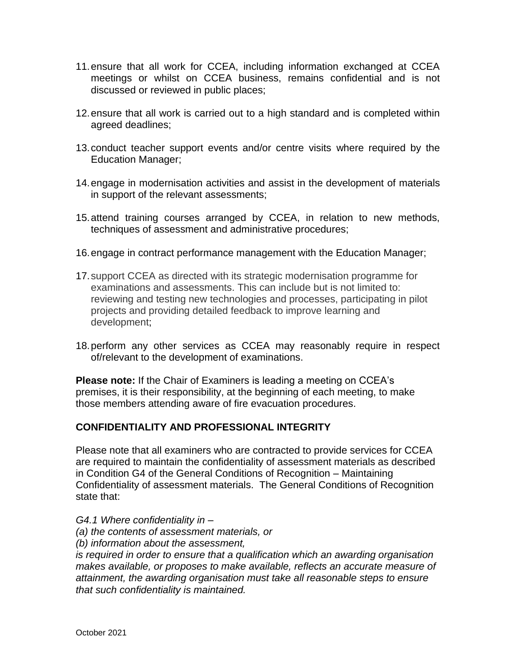- 11.ensure that all work for CCEA, including information exchanged at CCEA meetings or whilst on CCEA business, remains confidential and is not discussed or reviewed in public places;
- 12.ensure that all work is carried out to a high standard and is completed within agreed deadlines;
- 13.conduct teacher support events and/or centre visits where required by the Education Manager;
- 14.engage in modernisation activities and assist in the development of materials in support of the relevant assessments;
- 15.attend training courses arranged by CCEA, in relation to new methods, techniques of assessment and administrative procedures;
- 16.engage in contract performance management with the Education Manager;
- 17.support CCEA as directed with its strategic modernisation programme for examinations and assessments. This can include but is not limited to: reviewing and testing new technologies and processes, participating in pilot projects and providing detailed feedback to improve learning and development;
- 18.perform any other services as CCEA may reasonably require in respect of/relevant to the development of examinations.

**Please note:** If the Chair of Examiners is leading a meeting on CCEA's premises, it is their responsibility, at the beginning of each meeting, to make those members attending aware of fire evacuation procedures.

## **CONFIDENTIALITY AND PROFESSIONAL INTEGRITY**

Please note that all examiners who are contracted to provide services for CCEA are required to maintain the confidentiality of assessment materials as described in Condition G4 of the General Conditions of Recognition – Maintaining Confidentiality of assessment materials. The General Conditions of Recognition state that:

*G4.1 Where confidentiality in – (a) the contents of assessment materials, or (b) information about the assessment, is required in order to ensure that a qualification which an awarding organisation makes available, or proposes to make available, reflects an accurate measure of attainment, the awarding organisation must take all reasonable steps to ensure that such confidentiality is maintained.*